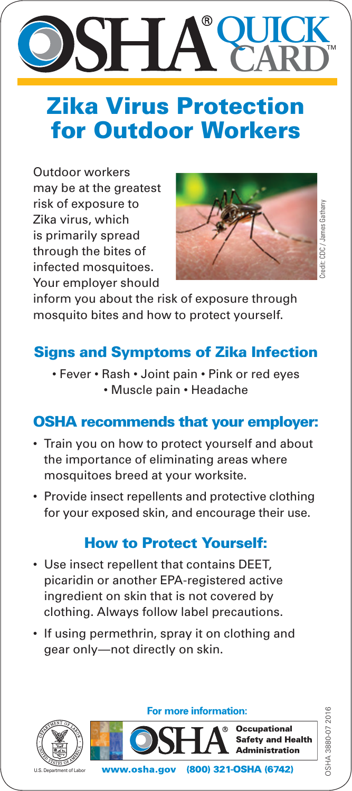## **QUICK** ® SH/ **CARD**

# Zika Virus Protection for Outdoor Workers

Outdoor workers may be at the greatest risk of exposure to Zika virus, which is primarily spread through the bites of infected mosquitoes. Your employer should



redit: CDC / James Gathany Credit: CDC / James Gathany

OSHA 3880-07 2016

3SHA 3880-07 2016

inform you about the risk of exposure through mosquito bites and how to protect yourself.

### Signs and Symptoms of Zika Infection

• Fever • Rash • Joint pain • Pink or red eyes • Muscle pain • Headache

#### OSHA recommends that your employer:

- Train you on how to protect yourself and about the importance of eliminating areas where mosquitoes breed at your worksite.
- Provide insect repellents and protective clothing for your exposed skin, and encourage their use.

#### How to Protect Yourself:

- Use insect repellent that contains DEET, picaridin or another EPA-registered active ingredient on skin that is not covered by clothing. Always follow label precautions.
- If using permethrin, spray it on clothing and gear only—not directly on skin.



U.S. Department of Labor

For more information: